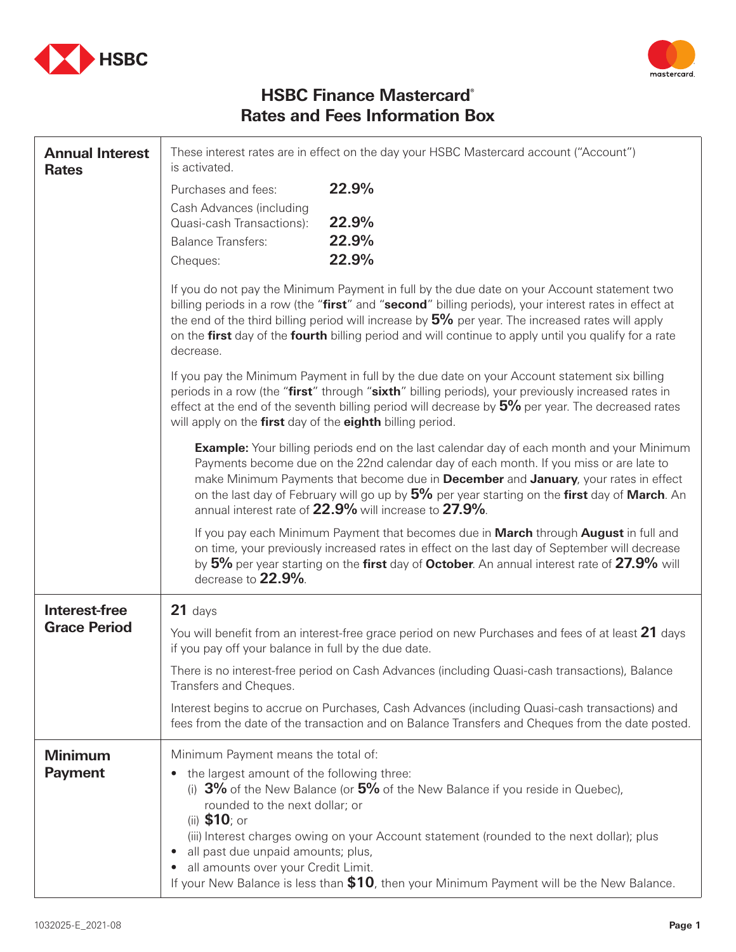



## **HSBC Finance Mastercard® Rates and Fees Information Box**

| <b>Annual Interest</b><br><b>Rates</b> | These interest rates are in effect on the day your HSBC Mastercard account ("Account")<br>is activated.                                                                                                                                                                                                                                                                                                                           |                                                                                                                                                                                                                                                                                                                                                                                                                                            |
|----------------------------------------|-----------------------------------------------------------------------------------------------------------------------------------------------------------------------------------------------------------------------------------------------------------------------------------------------------------------------------------------------------------------------------------------------------------------------------------|--------------------------------------------------------------------------------------------------------------------------------------------------------------------------------------------------------------------------------------------------------------------------------------------------------------------------------------------------------------------------------------------------------------------------------------------|
|                                        | Purchases and fees:                                                                                                                                                                                                                                                                                                                                                                                                               | 22.9%                                                                                                                                                                                                                                                                                                                                                                                                                                      |
|                                        | Cash Advances (including                                                                                                                                                                                                                                                                                                                                                                                                          |                                                                                                                                                                                                                                                                                                                                                                                                                                            |
|                                        | Quasi-cash Transactions):<br><b>Balance Transfers:</b>                                                                                                                                                                                                                                                                                                                                                                            | 22.9%<br>22.9%                                                                                                                                                                                                                                                                                                                                                                                                                             |
|                                        | Cheques:                                                                                                                                                                                                                                                                                                                                                                                                                          | 22.9%                                                                                                                                                                                                                                                                                                                                                                                                                                      |
|                                        |                                                                                                                                                                                                                                                                                                                                                                                                                                   |                                                                                                                                                                                                                                                                                                                                                                                                                                            |
|                                        | If you do not pay the Minimum Payment in full by the due date on your Account statement two<br>billing periods in a row (the "first" and "second" billing periods), your interest rates in effect at<br>the end of the third billing period will increase by $5\%$ per year. The increased rates will apply<br>on the first day of the fourth billing period and will continue to apply until you qualify for a rate<br>decrease. |                                                                                                                                                                                                                                                                                                                                                                                                                                            |
|                                        | If you pay the Minimum Payment in full by the due date on your Account statement six billing<br>periods in a row (the "first" through "sixth" billing periods), your previously increased rates in<br>effect at the end of the seventh billing period will decrease by $5\%$ per year. The decreased rates<br>will apply on the first day of the eighth billing period.                                                           |                                                                                                                                                                                                                                                                                                                                                                                                                                            |
|                                        |                                                                                                                                                                                                                                                                                                                                                                                                                                   | <b>Example:</b> Your billing periods end on the last calendar day of each month and your Minimum<br>Payments become due on the 22nd calendar day of each month. If you miss or are late to<br>make Minimum Payments that become due in December and January, your rates in effect<br>on the last day of February will go up by 5% per year starting on the first day of March. An<br>annual interest rate of 22.9% will increase to 27.9%. |
|                                        | decrease to 22.9%.                                                                                                                                                                                                                                                                                                                                                                                                                | If you pay each Minimum Payment that becomes due in March through August in full and<br>on time, your previously increased rates in effect on the last day of September will decrease<br>by 5% per year starting on the first day of October. An annual interest rate of 27.9% will                                                                                                                                                        |
| Interest-free<br><b>Grace Period</b>   | 21 days                                                                                                                                                                                                                                                                                                                                                                                                                           |                                                                                                                                                                                                                                                                                                                                                                                                                                            |
|                                        | You will benefit from an interest-free grace period on new Purchases and fees of at least 21 days<br>if you pay off your balance in full by the due date.                                                                                                                                                                                                                                                                         |                                                                                                                                                                                                                                                                                                                                                                                                                                            |
|                                        | There is no interest-free period on Cash Advances (including Quasi-cash transactions), Balance<br>Transfers and Cheques.                                                                                                                                                                                                                                                                                                          |                                                                                                                                                                                                                                                                                                                                                                                                                                            |
|                                        | Interest begins to accrue on Purchases, Cash Advances (including Quasi-cash transactions) and<br>fees from the date of the transaction and on Balance Transfers and Cheques from the date posted.                                                                                                                                                                                                                                 |                                                                                                                                                                                                                                                                                                                                                                                                                                            |
| <b>Minimum</b>                         | Minimum Payment means the total of:                                                                                                                                                                                                                                                                                                                                                                                               |                                                                                                                                                                                                                                                                                                                                                                                                                                            |
| <b>Payment</b>                         | the largest amount of the following three:<br>$\bullet$<br>(i) $3\%$ of the New Balance (or $5\%$ of the New Balance if you reside in Quebec),<br>rounded to the next dollar; or<br>(ii) $$10;$ or                                                                                                                                                                                                                                |                                                                                                                                                                                                                                                                                                                                                                                                                                            |
|                                        | (iii) Interest charges owing on your Account statement (rounded to the next dollar); plus<br>all past due unpaid amounts; plus,<br>$\bullet$<br>all amounts over your Credit Limit.<br>$\bullet$<br>If your New Balance is less than \$10, then your Minimum Payment will be the New Balance.                                                                                                                                     |                                                                                                                                                                                                                                                                                                                                                                                                                                            |
|                                        |                                                                                                                                                                                                                                                                                                                                                                                                                                   |                                                                                                                                                                                                                                                                                                                                                                                                                                            |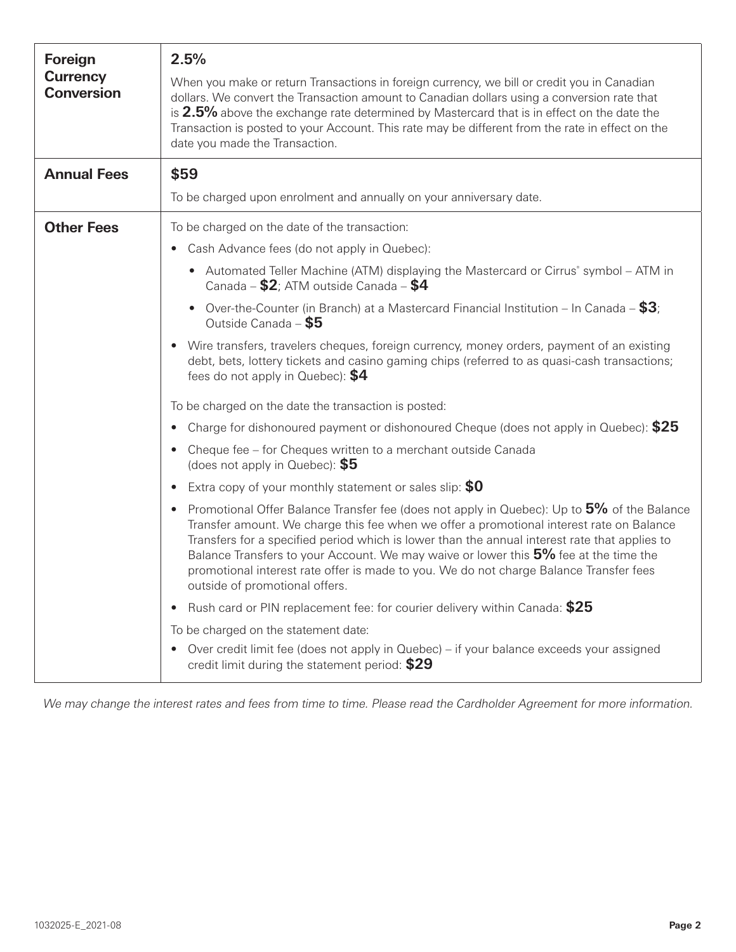| Foreign<br><b>Currency</b><br><b>Conversion</b> | 2.5%<br>When you make or return Transactions in foreign currency, we bill or credit you in Canadian<br>dollars. We convert the Transaction amount to Canadian dollars using a conversion rate that<br>is 2.5% above the exchange rate determined by Mastercard that is in effect on the date the<br>Transaction is posted to your Account. This rate may be different from the rate in effect on the<br>date you made the Transaction.                                                                                   |  |
|-------------------------------------------------|--------------------------------------------------------------------------------------------------------------------------------------------------------------------------------------------------------------------------------------------------------------------------------------------------------------------------------------------------------------------------------------------------------------------------------------------------------------------------------------------------------------------------|--|
| <b>Annual Fees</b>                              | \$59                                                                                                                                                                                                                                                                                                                                                                                                                                                                                                                     |  |
|                                                 | To be charged upon enrolment and annually on your anniversary date.                                                                                                                                                                                                                                                                                                                                                                                                                                                      |  |
| <b>Other Fees</b>                               | To be charged on the date of the transaction:                                                                                                                                                                                                                                                                                                                                                                                                                                                                            |  |
|                                                 | Cash Advance fees (do not apply in Quebec):<br>$\bullet$                                                                                                                                                                                                                                                                                                                                                                                                                                                                 |  |
|                                                 | • Automated Teller Machine (ATM) displaying the Mastercard or Cirrus° symbol – ATM in<br>Canada – $$2$ ; ATM outside Canada – $$4$                                                                                                                                                                                                                                                                                                                                                                                       |  |
|                                                 | Over-the-Counter (in Branch) at a Mastercard Financial Institution – In Canada – $$3$ ;<br>$\bullet$<br>Outside Canada - \$5                                                                                                                                                                                                                                                                                                                                                                                             |  |
|                                                 | Wire transfers, travelers cheques, foreign currency, money orders, payment of an existing<br>$\bullet$<br>debt, bets, lottery tickets and casino gaming chips (referred to as quasi-cash transactions;<br>fees do not apply in Quebec): $$4$                                                                                                                                                                                                                                                                             |  |
|                                                 | To be charged on the date the transaction is posted:                                                                                                                                                                                                                                                                                                                                                                                                                                                                     |  |
|                                                 | Charge for dishonoured payment or dishonoured Cheque (does not apply in Quebec): \$25<br>$\bullet$                                                                                                                                                                                                                                                                                                                                                                                                                       |  |
|                                                 | Cheque fee - for Cheques written to a merchant outside Canada<br>$\bullet$<br>(does not apply in Quebec): $$5$                                                                                                                                                                                                                                                                                                                                                                                                           |  |
|                                                 | Extra copy of your monthly statement or sales slip: \$0<br>$\bullet$                                                                                                                                                                                                                                                                                                                                                                                                                                                     |  |
|                                                 | Promotional Offer Balance Transfer fee (does not apply in Quebec): Up to 5% of the Balance<br>$\bullet$<br>Transfer amount. We charge this fee when we offer a promotional interest rate on Balance<br>Transfers for a specified period which is lower than the annual interest rate that applies to<br>Balance Transfers to your Account. We may waive or lower this 5% fee at the time the<br>promotional interest rate offer is made to you. We do not charge Balance Transfer fees<br>outside of promotional offers. |  |
|                                                 | Rush card or PIN replacement fee: for courier delivery within Canada: \$25<br>$\bullet$                                                                                                                                                                                                                                                                                                                                                                                                                                  |  |
|                                                 | To be charged on the statement date:                                                                                                                                                                                                                                                                                                                                                                                                                                                                                     |  |
|                                                 | Over credit limit fee (does not apply in Quebec) – if your balance exceeds your assigned<br>$\bullet$<br>credit limit during the statement period: \$29                                                                                                                                                                                                                                                                                                                                                                  |  |

We may change the interest rates and fees from time to time. Please read the Cardholder Agreement for more information.